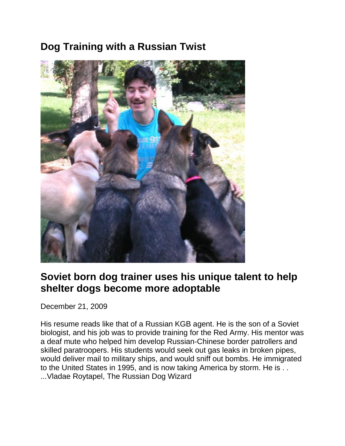# **Dog Training with a Russian Twist**



### **Soviet born dog trainer uses his unique talent to help shelter dogs become more adoptable**

December 21, 2009

His resume reads like that of a Russian KGB agent. He is the son of a Soviet biologist, and his job was to provide training for the Red Army. His mentor was a deaf mute who helped him develop Russian-Chinese border patrollers and skilled paratroopers. His students would seek out gas leaks in broken pipes, would deliver mail to military ships, and would sniff out bombs. He immigrated to the United States in 1995, and is now taking America by storm. He is . . ...Vladae Roytapel, The Russian Dog Wizard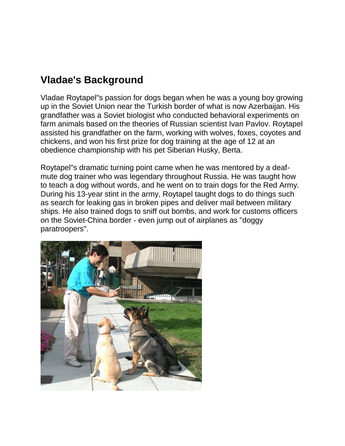### **Vladae's Background**

Vladae Roytapel"s passion for dogs began when he was a young boy growing up in the Soviet Union near the Turkish border of what is now Azerbaijan. His grandfather was a Soviet biologist who conducted behavioral experiments on farm animals based on the theories of Russian scientist Ivan Pavlov. Roytapel assisted his grandfather on the farm, working with wolves, foxes, coyotes and chickens, and won his first prize for dog training at the age of 12 at an obedience championship with his pet Siberian Husky, Berta.

Roytapel"s dramatic turning point came when he was mentored by a deafmute dog trainer who was legendary throughout Russia. He was taught how to teach a dog without words, and he went on to train dogs for the Red Army. During his 13-year stint in the army, Roytapel taught dogs to do things such as search for leaking gas in broken pipes and deliver mail between military ships. He also trained dogs to sniff out bombs, and work for customs officers on the Soviet-China border - even jump out of airplanes as "doggy paratroopers".

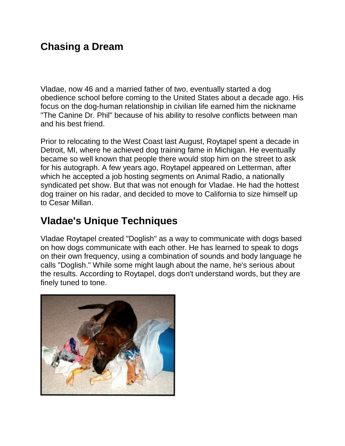## **Chasing a Dream**

Vladae, now 46 and a married father of two, eventually started a dog obedience school before coming to the United States about a decade ago. His focus on the dog-human relationship in civilian life earned him the nickname "The Canine Dr. Phil" because of his ability to resolve conflicts between man and his best friend.

Prior to relocating to the West Coast last August, Roytapel spent a decade in Detroit, MI, where he achieved dog training fame in Michigan. He eventually became so well known that people there would stop him on the street to ask for his autograph. A few years ago, Roytapel appeared on Letterman, after which he accepted a job hosting segments on Animal Radio, a nationally syndicated pet show. But that was not enough for Vladae. He had the hottest dog trainer on his radar, and decided to move to California to size himself up to Cesar Millan.

## **Vladae's Unique Techniques**

Vladae Roytapel created "Doglish" as a way to communicate with dogs based on how dogs communicate with each other. He has learned to speak to dogs on their own frequency, using a combination of sounds and body language he calls "Doglish." While some might laugh about the name, he's serious about the results. According to Roytapel, dogs don't understand words, but they are finely tuned to tone.

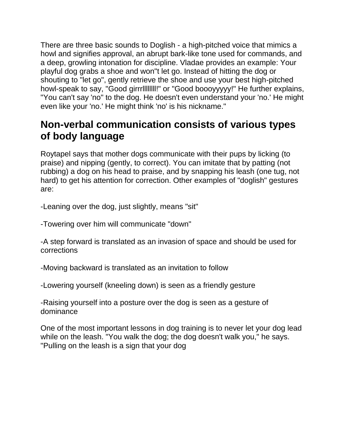There are three basic sounds to Doglish - a high-pitched voice that mimics a howl and signifies approval, an abrupt bark-like tone used for commands, and a deep, growling intonation for discipline. Vladae provides an example: Your playful dog grabs a shoe and won"t let go. Instead of hitting the dog or shouting to "let go", gently retrieve the shoe and use your best high-pitched howl-speak to say, "Good girrrllllllll!" or "Good boooyyyyy!" He further explains, "You can't say 'no" to the dog. He doesn't even understand your 'no.' He might even like your 'no.' He might think 'no' is his nickname."

### **Non-verbal communication consists of various types of body language**

Roytapel says that mother dogs communicate with their pups by licking (to praise) and nipping (gently, to correct). You can imitate that by patting (not rubbing) a dog on his head to praise, and by snapping his leash (one tug, not hard) to get his attention for correction. Other examples of "doglish" gestures are:

-Leaning over the dog, just slightly, means "sit"

-Towering over him will communicate "down"

-A step forward is translated as an invasion of space and should be used for corrections

-Moving backward is translated as an invitation to follow

-Lowering yourself (kneeling down) is seen as a friendly gesture

-Raising yourself into a posture over the dog is seen as a gesture of dominance

One of the most important lessons in dog training is to never let your dog lead while on the leash. "You walk the dog; the dog doesn't walk you," he says. "Pulling on the leash is a sign that your dog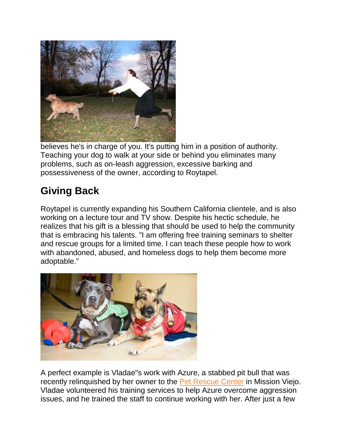

believes he's in charge of you. It's putting him in a position of authority. Teaching your dog to walk at your side or behind you eliminates many problems, such as on-leash aggression, excessive barking and possessiveness of the owner, according to Roytapel.

# **Giving Back**

Roytapel is currently expanding his Southern California clientele, and is also working on a lecture tour and TV show. Despite his hectic schedule, he realizes that his gift is a blessing that should be used to help the community that is embracing his talents. "I am offering free training seminars to shelter and rescue groups for a limited time. I can teach these people how to work with abandoned, abused, and homeless dogs to help them become more adoptable."



A perfect example is Vladae"s work with Azure, a stabbed pit bull that was recently relinquished by her owner to the [Pet Rescue Center](http://www.thepetrescuecenter.org/) in Mission Viejo. Vladae volunteered his training services to help Azure overcome aggression issues, and he trained the staff to continue working with her. After just a few